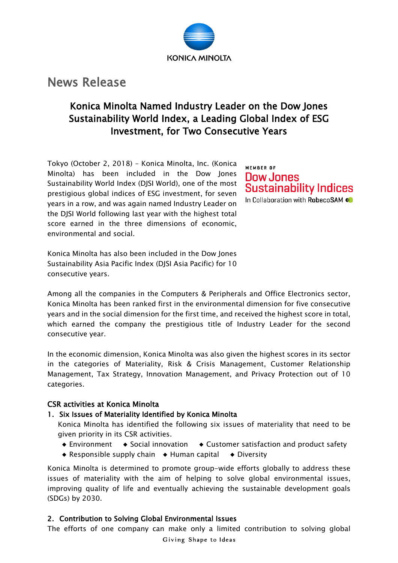

# News Release

## Konica Minolta Named Industry Leader on the Dow Jones Sustainability World Index, a Leading Global Index of ESG Investment, for Two Consecutive Years

Tokyo (October 2, 2018) – Konica Minolta, Inc. (Konica Minolta) has been included in the Dow Jones Sustainability World Index (DJSI World), one of the most prestigious global indices of ESG investment, for seven years in a row, and was again named Industry Leader on the DJSI World following last year with the highest total score earned in the three dimensions of economic, environmental and social.

MEMBER OF Dow Jones **Sustainability Indices** In Collaboration with RobecoSAM (O

Konica Minolta has also been included in the Dow Jones Sustainability Asia Pacific Index (DJSI Asia Pacific) for 10 consecutive years.

Among all the companies in the Computers & Peripherals and Office Electronics sector, Konica Minolta has been ranked first in the environmental dimension for five consecutive years and in the social dimension for the first time, and received the highest score in total, which earned the company the prestigious title of Industry Leader for the second consecutive year.

In the economic dimension, Konica Minolta was also given the highest scores in its sector in the categories of Materiality, Risk & Crisis Management, Customer Relationship Management, Tax Strategy, Innovation Management, and Privacy Protection out of 10 categories.

## CSR activities at Konica Minolta

### 1. Six Issues of Materiality Identified by Konica Minolta

Konica Minolta has identified the following six issues of materiality that need to be given priority in its CSR activities.

- ◆ Environment ◆ Social innovation ◆ Customer satisfaction and product safety
- ◆ Responsible supply chain ◆ Human capital ◆ Diversity

Konica Minolta is determined to promote group-wide efforts globally to address these issues of materiality with the aim of helping to solve global environmental issues, improving quality of life and eventually achieving the sustainable development goals (SDGs) by 2030.

## 2. Contribution to Solving Global Environmental Issues

The efforts of one company can make only a limited contribution to solving global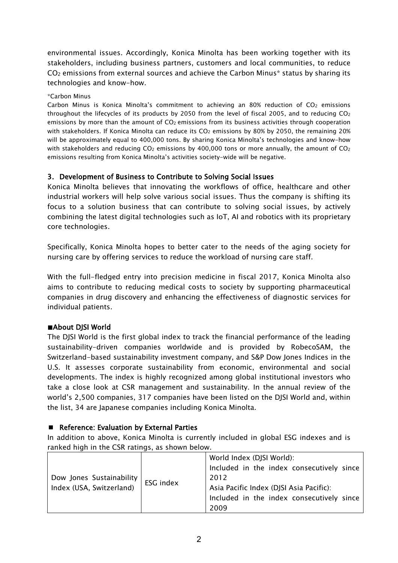environmental issues. Accordingly, Konica Minolta has been working together with its stakeholders, including business partners, customers and local communities, to reduce  $CO<sub>2</sub>$  emissions from external sources and achieve the Carbon Minus\* status by sharing its technologies and know-how.

#### \*Carbon Minus

Carbon Minus is Konica Minolta's commitment to achieving an 80% reduction of CO<sub>2</sub> emissions throughout the lifecycles of its products by 2050 from the level of fiscal 2005, and to reducing  $CO<sub>2</sub>$ emissions by more than the amount of CO<sub>2</sub> emissions from its business activities through cooperation with stakeholders. If Konica Minolta can reduce its CO<sub>2</sub> emissions by 80% by 2050, the remaining 20% will be approximately equal to 400,000 tons. By sharing Konica Minolta's technologies and know-how with stakeholders and reducing  $CO<sub>2</sub>$  emissions by 400,000 tons or more annually, the amount of  $CO<sub>2</sub>$ emissions resulting from Konica Minolta's activities society-wide will be negative.

## 3. Development of Business to Contribute to Solving Social Issues

Konica Minolta believes that innovating the workflows of office, healthcare and other industrial workers will help solve various social issues. Thus the company is shifting its focus to a solution business that can contribute to solving social issues, by actively combining the latest digital technologies such as IoT, AI and robotics with its proprietary core technologies.

Specifically, Konica Minolta hopes to better cater to the needs of the aging society for nursing care by offering services to reduce the workload of nursing care staff.

With the full-fledged entry into precision medicine in fiscal 2017, Konica Minolta also aims to contribute to reducing medical costs to society by supporting pharmaceutical companies in drug discovery and enhancing the effectiveness of diagnostic services for individual patients.

### ■About DISI World

The DJSI World is the first global index to track the financial performance of the leading sustainability-driven companies worldwide and is provided by RobecoSAM, the Switzerland-based sustainability investment company, and S&P Dow Jones Indices in the U.S. It assesses corporate sustainability from economic, environmental and social developments. The index is highly recognized among global institutional investors who take a close look at CSR management and sustainability. In the annual review of the world's 2,500 companies, 317 companies have been listed on the DJSI World and, within the list, 34 are Japanese companies including Konica Minolta.

### ■ Reference: Evaluation by External Parties

In addition to above, Konica Minolta is currently included in global ESG indexes and is ranked high in the CSR ratings, as shown below.

| Dow Jones Sustainability<br>Index (USA, Switzerland) | ESG index | World Index (DJSI World):                 |
|------------------------------------------------------|-----------|-------------------------------------------|
|                                                      |           | Included in the index consecutively since |
|                                                      |           | 2012                                      |
|                                                      |           | Asia Pacific Index (DJSI Asia Pacific):   |
|                                                      |           | Included in the index consecutively since |
|                                                      |           | 2009                                      |